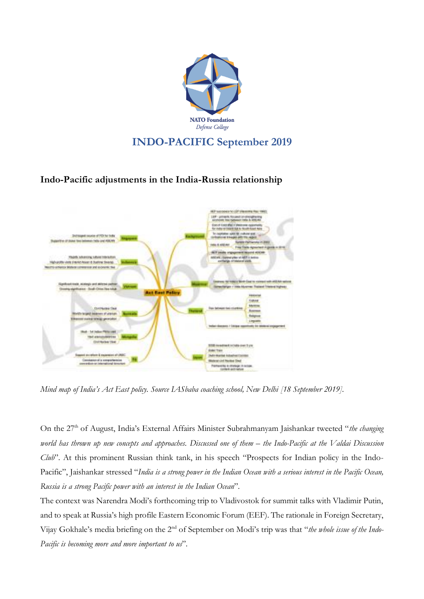

## **INDO-PACIFIC September 2019**

## **Indo-Pacific adjustments in the India-Russia relationship**



*Mind map of India's Act East policy. Source IASbaba coaching school, New Delhi [18 September 2019].*

On the 27<sup>th</sup> of August, India's External Affairs Minister Subrahmanyam Jaishankar tweeted "*the changing* world has thrown up new concepts and approaches. Discussed one of them - the Indo-Pacific at the Valdai Discussion *Club*". At this prominent Russian think tank, in his speech "Prospects for Indian policy in the Indo-Pacific", Jaishankar stressed "India is a strong power in the Indian Ocean with a serious interest in the Pacific Ocean, *Russia is a strong Pacific power with an interest in the Indian Ocean*".

The context was Narendra Modi's forthcoming trip to Vladivostok for summit talks with Vladimir Putin, and to speak at Russia's high profile Eastern Economic Forum (EEF). The rationale in Foreign Secretary, Vijay Gokhale's media briefing on the 2nd of September on Modi's trip was that "*the whole issue of the Indo-Pacific is becoming more and more important to us*".